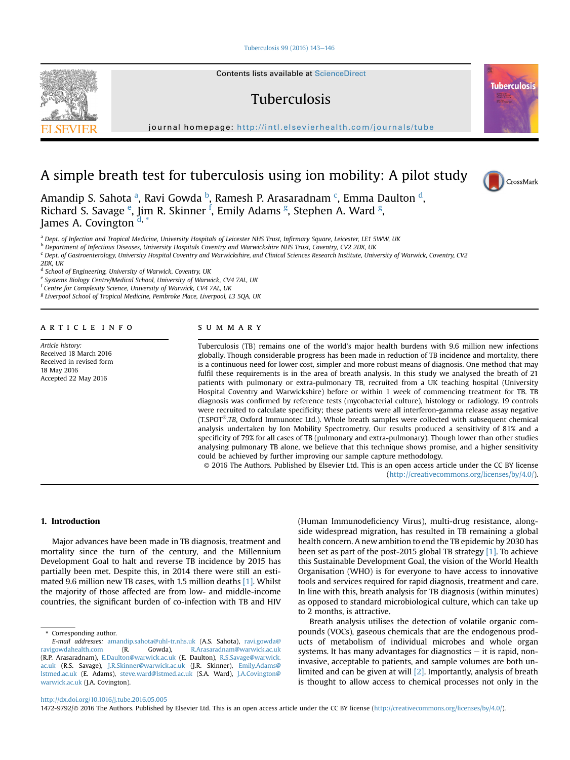#### [Tuberculosis 99 \(2016\) 143](http://dx.doi.org/10.1016/j.tube.2016.05.005)-[146](http://dx.doi.org/10.1016/j.tube.2016.05.005)

Contents lists available at ScienceDirect

# Tuberculosis

journal homepage: <http://intl.elsevierhealth.com/journals/tube>

# A simple breath test for tuberculosis using ion mobility: A pilot study



**Tuberculosis** 

Amandip S. Sahota <sup>a</sup>, Ravi Gowda <sup>b</sup>, Ramesh P. Arasaradnam <sup>c</sup>, Emma Daulton <sup>d</sup>, Richard S. Savage <sup>e</sup>, Jim R. Skinner <sup>f</sup>, Emily Adams <sup>g</sup>, Stephen A. Ward <sup>g</sup>, James A. Covington d,\*

a Dept. of Infection and Tropical Medicine, University Hospitals of Leicester NHS Trust, Infirmary Square, Leicester, LE1 5WW, UK

b Department of Infectious Diseases, University Hospitals Coventry and Warwickshire NHS Trust, Coventry, CV2 2DX, UK

<sup>c</sup> Dept. of Gastroenterology, University Hospital Coventry and Warwickshire, and Clinical Sciences Research Institute, University of Warwick, Coventry, CV2

<sup>d</sup> School of Engineering, University of Warwick, Coventry, UK

<sup>e</sup> Systems Biology Centre/Medical School, University of Warwick, CV4 7AL, UK

<sup>f</sup> Centre for Complexity Science, University of Warwick, CV4 7AL, UK

<sup>g</sup> Liverpool School of Tropical Medicine, Pembroke Place, Liverpool, L3 5QA, UK

### article info

Article history: Received 18 March 2016 Received in revised form 18 May 2016 Accepted 22 May 2016

#### SUMMARY

Tuberculosis (TB) remains one of the world's major health burdens with 9.6 million new infections globally. Though considerable progress has been made in reduction of TB incidence and mortality, there is a continuous need for lower cost, simpler and more robust means of diagnosis. One method that may fulfil these requirements is in the area of breath analysis. In this study we analysed the breath of 21 patients with pulmonary or extra-pulmonary TB, recruited from a UK teaching hospital (University Hospital Coventry and Warwickshire) before or within 1 week of commencing treatment for TB. TB diagnosis was confirmed by reference tests (mycobacterial culture), histology or radiology. 19 controls were recruited to calculate specificity; these patients were all interferon-gamma release assay negative (T.SPOT®.TB, Oxford Immunotec Ltd.). Whole breath samples were collected with subsequent chemical analysis undertaken by Ion Mobility Spectrometry. Our results produced a sensitivity of 81% and a specificity of 79% for all cases of TB (pulmonary and extra-pulmonary). Though lower than other studies analysing pulmonary TB alone, we believe that this technique shows promise, and a higher sensitivity could be achieved by further improving our sample capture methodology.

© 2016 The Authors. Published by Elsevier Ltd. This is an open access article under the CC BY license [\(http://creativecommons.org/licenses/by/4.0/](http://creativecommons.org/licenses/by/4.0/)).

## 1. Introduction

Major advances have been made in TB diagnosis, treatment and mortality since the turn of the century, and the Millennium Development Goal to halt and reverse TB incidence by 2015 has partially been met. Despite this, in 2014 there were still an estimated 9.6 million new TB cases, with 1.5 million deaths [\[1\]](#page-3-0). Whilst the majority of those affected are from low- and middle-income countries, the significant burden of co-infection with TB and HIV

\* Corresponding author.

(Human Immunodeficiency Virus), multi-drug resistance, alongside widespread migration, has resulted in TB remaining a global health concern. A new ambition to end the TB epidemic by 2030 has been set as part of the post-2015 global TB strategy [\[1\].](#page-3-0) To achieve this Sustainable Development Goal, the vision of the World Health Organisation (WHO) is for everyone to have access to innovative tools and services required for rapid diagnosis, treatment and care. In line with this, breath analysis for TB diagnosis (within minutes) as opposed to standard microbiological culture, which can take up to 2 months, is attractive.

Breath analysis utilises the detection of volatile organic compounds (VOCs), gaseous chemicals that are the endogenous products of metabolism of individual microbes and whole organ systems. It has many advantages for diagnostics  $-$  it is rapid, noninvasive, acceptable to patients, and sample volumes are both unlimited and can be given at will [\[2\]](#page-3-0). Importantly, analysis of breath is thought to allow access to chemical processes not only in the

#### <http://dx.doi.org/10.1016/j.tube.2016.05.005>

1472-9792/© 2016 The Authors. Published by Elsevier Ltd. This is an open access article under the CC BY license [\(http://creativecommons.org/licenses/by/4.0/\)](http://creativecommons.org/licenses/by/4.0/).



<sup>2</sup>DX, UK

E-mail addresses: [amandip.sahota@uhl-tr.nhs.uk](mailto:amandip.sahota@uhl-tr.nhs.uk) (A.S. Sahota), [ravi.gowda@](mailto:ravi.gowda@ravigowdahealth.com) [ravigowdahealth.com](mailto:ravi.gowda@ravigowdahealth.com) (R. Gowda), [R.Arasaradnam@warwick.ac.uk](mailto:R.Arasaradnam@warwick.ac.uk) (R.P. Arasaradnam), [E.Daulton@warwick.ac.uk](mailto:E.Daulton@warwick.ac.uk) (E. Daulton), [R.S.Savage@warwick.](mailto:R.S.Savage@warwick.ac.uk) [ac.uk](mailto:R.S.Savage@warwick.ac.uk) (R.S. Savage), [J.R.Skinner@warwick.ac.uk](mailto:J.R.Skinner@warwick.ac.uk) (J.R. Skinner), [Emily.Adams@](mailto:Emily.Adams@lstmed.ac.uk) [lstmed.ac.uk](mailto:Emily.Adams@lstmed.ac.uk) (E. Adams), [steve.ward@lstmed.ac.uk](mailto:steve.ward@lstmed.ac.uk) (S.A. Ward), [J.A.Covington@](mailto:J.A.Covington@warwick.ac.uk) [warwick.ac.uk](mailto:J.A.Covington@warwick.ac.uk) (J.A. Covington).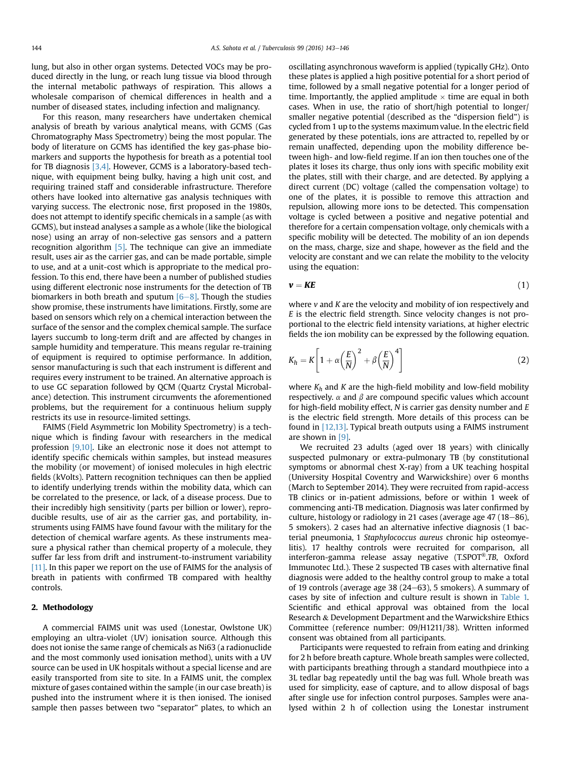lung, but also in other organ systems. Detected VOCs may be produced directly in the lung, or reach lung tissue via blood through the internal metabolic pathways of respiration. This allows a wholesale comparison of chemical differences in health and a number of diseased states, including infection and malignancy.

For this reason, many researchers have undertaken chemical analysis of breath by various analytical means, with GCMS (Gas Chromatography Mass Spectrometry) being the most popular. The body of literature on GCMS has identified the key gas-phase biomarkers and supports the hypothesis for breath as a potential tool for TB diagnosis [\[3,4\].](#page-3-0) However, GCMS is a laboratory-based technique, with equipment being bulky, having a high unit cost, and requiring trained staff and considerable infrastructure. Therefore others have looked into alternative gas analysis techniques with varying success. The electronic nose, first proposed in the 1980s, does not attempt to identify specific chemicals in a sample (as with GCMS), but instead analyses a sample as a whole (like the biological nose) using an array of non-selective gas sensors and a pattern recognition algorithm  $[5]$ . The technique can give an immediate result, uses air as the carrier gas, and can be made portable, simple to use, and at a unit-cost which is appropriate to the medical profession. To this end, there have been a number of published studies using different electronic nose instruments for the detection of TB biomarkers in both breath and sputum  $[6-8]$  $[6-8]$  $[6-8]$ . Though the studies show promise, these instruments have limitations. Firstly, some are based on sensors which rely on a chemical interaction between the surface of the sensor and the complex chemical sample. The surface layers succumb to long-term drift and are affected by changes in sample humidity and temperature. This means regular re-training of equipment is required to optimise performance. In addition, sensor manufacturing is such that each instrument is different and requires every instrument to be trained. An alternative approach is to use GC separation followed by QCM (Quartz Crystal Microbalance) detection. This instrument circumvents the aforementioned problems, but the requirement for a continuous helium supply restricts its use in resource-limited settings.

FAIMS (Field Asymmetric Ion Mobility Spectrometry) is a technique which is finding favour with researchers in the medical profession [\[9,10\]](#page-3-0). Like an electronic nose it does not attempt to identify specific chemicals within samples, but instead measures the mobility (or movement) of ionised molecules in high electric fields (kVolts). Pattern recognition techniques can then be applied to identify underlying trends within the mobility data, which can be correlated to the presence, or lack, of a disease process. Due to their incredibly high sensitivity (parts per billion or lower), reproducible results, use of air as the carrier gas, and portability, instruments using FAIMS have found favour with the military for the detection of chemical warfare agents. As these instruments measure a physical rather than chemical property of a molecule, they suffer far less from drift and instrument-to-instrument variability [\[11\]](#page-3-0). In this paper we report on the use of FAIMS for the analysis of breath in patients with confirmed TB compared with healthy controls.

#### 2. Methodology

A commercial FAIMS unit was used (Lonestar, Owlstone UK) employing an ultra-violet (UV) ionisation source. Although this does not ionise the same range of chemicals as Ni63 (a radionuclide and the most commonly used ionisation method), units with a UV source can be used in UK hospitals without a special license and are easily transported from site to site. In a FAIMS unit, the complex mixture of gases contained within the sample (in our case breath) is pushed into the instrument where it is then ionised. The ionised sample then passes between two "separator" plates, to which an oscillating asynchronous waveform is applied (typically GHz). Onto these plates is applied a high positive potential for a short period of time, followed by a small negative potential for a longer period of time. Importantly, the applied amplitude  $\times$  time are equal in both cases. When in use, the ratio of short/high potential to longer/ smaller negative potential (described as the "dispersion field") is cycled from 1 up to the systems maximum value. In the electric field generated by these potentials, ions are attracted to, repelled by or remain unaffected, depending upon the mobility difference between high- and low-field regime. If an ion then touches one of the plates it loses its charge, thus only ions with specific mobility exit the plates, still with their charge, and are detected. By applying a direct current (DC) voltage (called the compensation voltage) to one of the plates, it is possible to remove this attraction and repulsion, allowing more ions to be detected. This compensation voltage is cycled between a positive and negative potential and therefore for a certain compensation voltage, only chemicals with a specific mobility will be detected. The mobility of an ion depends on the mass, charge, size and shape, however as the field and the velocity are constant and we can relate the mobility to the velocity using the equation:

$$
v = KE \tag{1}
$$

where  $v$  and  $K$  are the velocity and mobility of ion respectively and E is the electric field strength. Since velocity changes is not proportional to the electric field intensity variations, at higher electric fields the ion mobility can be expressed by the following equation.

$$
K_h = K \left[ 1 + \alpha \left( \frac{E}{N} \right)^2 + \beta \left( \frac{E}{N} \right)^4 \right] \tag{2}
$$

where  $K_h$  and K are the high-field mobility and low-field mobility respectively.  $\alpha$  and  $\beta$  are compound specific values which account for high-field mobility effect,  $N$  is carrier gas density number and  $E$ is the electric field strength. More details of this process can be found in [\[12,13\].](#page-3-0) Typical breath outputs using a FAIMS instrument are shown in [\[9\]](#page-3-0).

We recruited 23 adults (aged over 18 years) with clinically suspected pulmonary or extra-pulmonary TB (by constitutional symptoms or abnormal chest X-ray) from a UK teaching hospital (University Hospital Coventry and Warwickshire) over 6 months (March to September 2014). They were recruited from rapid-access TB clinics or in-patient admissions, before or within 1 week of commencing anti-TB medication. Diagnosis was later confirmed by culture, histology or radiology in 21 cases (average age  $47$  (18–86), 5 smokers). 2 cases had an alternative infective diagnosis (1 bacterial pneumonia, 1 Staphylococcus aureus chronic hip osteomyelitis). 17 healthy controls were recruited for comparison, all interferon-gamma release assay negative (T.SPOT®.TB, Oxford Immunotec Ltd.). These 2 suspected TB cases with alternative final diagnosis were added to the healthy control group to make a total of 19 controls (average age 38  $(24-63)$ , 5 smokers). A summary of cases by site of infection and culture result is shown in [Table 1.](#page-2-0) Scientific and ethical approval was obtained from the local Research & Development Department and the Warwickshire Ethics Committee (reference number: 09/H1211/38). Written informed consent was obtained from all participants.

Participants were requested to refrain from eating and drinking for 2 h before breath capture. Whole breath samples were collected, with participants breathing through a standard mouthpiece into a 3L tedlar bag repeatedly until the bag was full. Whole breath was used for simplicity, ease of capture, and to allow disposal of bags after single use for infection control purposes. Samples were analysed within 2 h of collection using the Lonestar instrument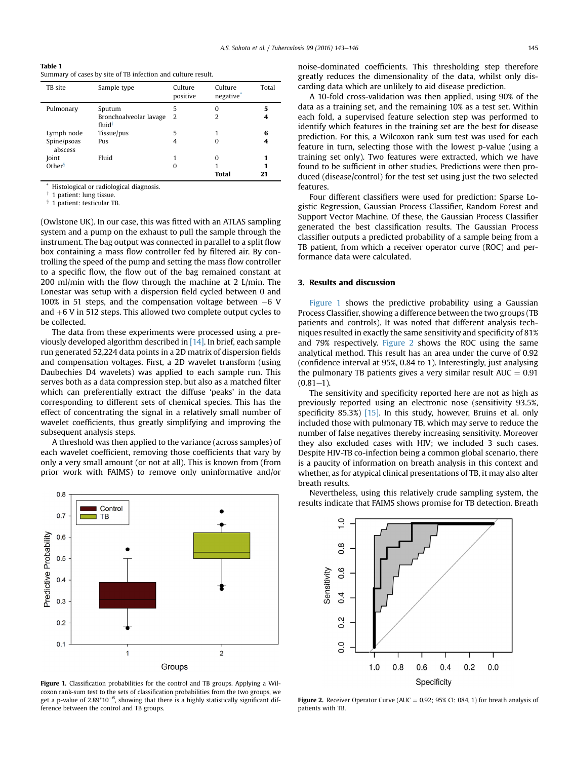<span id="page-2-0"></span>

| Table 1                                                      |  |
|--------------------------------------------------------------|--|
| Summary of cases by site of TB infection and culture result. |  |

| TB site                | Sample type                                  | Culture<br>positive | Culture<br>negative | Total |
|------------------------|----------------------------------------------|---------------------|---------------------|-------|
| Pulmonary              | Sputum                                       | 5                   | O                   | 5     |
|                        | Bronchoalveolar lavage<br>fluid <sup>t</sup> | 2                   | 2                   |       |
| Lymph node             | Tissue/pus                                   | 5                   |                     | 6     |
| Spine/psoas<br>abscess | Pus                                          |                     |                     | 4     |
| Joint                  | Fluid                                        |                     | O                   |       |
| Other <sup>§</sup>     |                                              |                     |                     |       |
|                        |                                              |                     | Total               |       |

Histological or radiological diagnosis

1 patient: lung tissue.

 $\frac{1}{3}$  1 patient: testicular TB.

(Owlstone UK). In our case, this was fitted with an ATLAS sampling system and a pump on the exhaust to pull the sample through the instrument. The bag output was connected in parallel to a split flow box containing a mass flow controller fed by filtered air. By controlling the speed of the pump and setting the mass flow controller to a specific flow, the flow out of the bag remained constant at 200 ml/min with the flow through the machine at 2 L/min. The Lonestar was setup with a dispersion field cycled between 0 and 100% in 51 steps, and the compensation voltage between  $-6$  V and  $+6$  V in 512 steps. This allowed two complete output cycles to be collected.

The data from these experiments were processed using a previously developed algorithm described in [\[14\]](#page-3-0). In brief, each sample run generated 52,224 data points in a 2D matrix of dispersion fields and compensation voltages. First, a 2D wavelet transform (using Daubechies D4 wavelets) was applied to each sample run. This serves both as a data compression step, but also as a matched filter which can preferentially extract the diffuse 'peaks' in the data corresponding to different sets of chemical species. This has the effect of concentrating the signal in a relatively small number of wavelet coefficients, thus greatly simplifying and improving the subsequent analysis steps.

A threshold was then applied to the variance (across samples) of each wavelet coefficient, removing those coefficients that vary by only a very small amount (or not at all). This is known from (from prior work with FAIMS) to remove only uninformative and/or



Figure 1. Classification probabilities for the control and TB groups. Applying a Wilcoxon rank-sum test to the sets of classification probabilities from the two groups, we get a p-value of 2.89\*10<sup>-6</sup>, showing that there is a highly statistically significant difference between the control and TB groups.

noise-dominated coefficients. This thresholding step therefore greatly reduces the dimensionality of the data, whilst only discarding data which are unlikely to aid disease prediction.

A 10-fold cross-validation was then applied, using 90% of the data as a training set, and the remaining 10% as a test set. Within each fold, a supervised feature selection step was performed to identify which features in the training set are the best for disease prediction. For this, a Wilcoxon rank sum test was used for each feature in turn, selecting those with the lowest p-value (using a training set only). Two features were extracted, which we have found to be sufficient in other studies. Predictions were then produced (disease/control) for the test set using just the two selected features.

Four different classifiers were used for prediction: Sparse Logistic Regression, Gaussian Process Classifier, Random Forest and Support Vector Machine. Of these, the Gaussian Process Classifier generated the best classification results. The Gaussian Process classifier outputs a predicted probability of a sample being from a TB patient, from which a receiver operator curve (ROC) and performance data were calculated.

#### 3. Results and discussion

Figure 1 shows the predictive probability using a Gaussian Process Classifier, showing a difference between the two groups (TB patients and controls). It was noted that different analysis techniques resulted in exactly the same sensitivity and specificity of 81% and 79% respectively. Figure 2 shows the ROC using the same analytical method. This result has an area under the curve of 0.92 (confidence interval at 95%, 0.84 to 1). Interestingly, just analysing the pulmonary TB patients gives a very similar result  $AUC = 0.91$  $(0.81-1)$ .

The sensitivity and specificity reported here are not as high as previously reported using an electronic nose (sensitivity 93.5%, specificity 85.3%) [\[15\]](#page-3-0). In this study, however, Bruins et al. only included those with pulmonary TB, which may serve to reduce the number of false negatives thereby increasing sensitivity. Moreover they also excluded cases with HIV; we included 3 such cases. Despite HIV-TB co-infection being a common global scenario, there is a paucity of information on breath analysis in this context and whether, as for atypical clinical presentations of TB, it may also alter breath results.

Nevertheless, using this relatively crude sampling system, the results indicate that FAIMS shows promise for TB detection. Breath



Figure 2. Receiver Operator Curve (AUC =  $0.92$ ; 95% CI: 084, 1) for breath analysis of patients with TB.